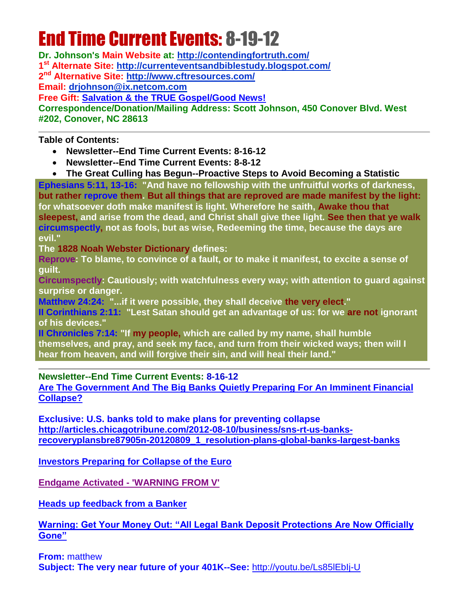# End Time Current Events: 8-19-12

**Dr. Johnson's Main Website at:<http://contendingfortruth.com/> 1 st Alternate Site: <http://currenteventsandbiblestudy.blogspot.com/> 2 nd Alternative Site:<http://www.cftresources.com/> Email: [drjohnson@ix.netcom.com](mailto:drjohnson@ix.netcom.com) Free Gift: [Salvation & the TRUE Gospel/Good News!](http://www.contendingfortruth.com/?cat=98) Correspondence/Donation/Mailing Address: Scott Johnson, 450 Conover Blvd. West #202, Conover, NC 28613**

**Table of Contents:**

- **Newsletter--End Time Current Events: 8-16-12**
- **Newsletter--End Time Current Events: 8-8-12**
- **The Great Culling has Begun--Proactive Steps to Avoid Becoming a Statistic**

**Ephesians 5:11, 13-16: "And have no fellowship with the unfruitful works of darkness, but rather reprove them. But all things that are reproved are made manifest by the light: for whatsoever doth make manifest is light. Wherefore he saith, Awake thou that sleepest, and arise from the dead, and Christ shall give thee light. See then that ye walk circumspectly, not as fools, but as wise, Redeeming the time, because the days are evil."** 

**The 1828 Noah Webster Dictionary defines:**

**Reprove: To blame, to convince of a fault, or to make it manifest, to excite a sense of guilt.**

**Circumspectly: Cautiously; with watchfulness every way; with attention to guard against surprise or danger.**

**Matthew 24:24: "...if it were possible, they shall deceive the very elect."** 

**II Corinthians 2:11: "Lest Satan should get an advantage of us: for we are not ignorant of his devices."** 

**II Chronicles 7:14: "If my people, which are called by my name, shall humble themselves, and pray, and seek my face, and turn from their wicked ways; then will I hear from heaven, and will forgive their sin, and will heal their land."**

**Newsletter--End Time Current Events: 8-16-12**

**[Are The Government And The Big Banks Quietly Preparing For An Imminent Financial](http://www.infowars.com/are-the-government-and-the-big-banks-quietly-preparing-for-an-imminent-financial-collapse/)  [Collapse?](http://www.infowars.com/are-the-government-and-the-big-banks-quietly-preparing-for-an-imminent-financial-collapse/)** 

**Exclusive: U.S. banks told to make plans for preventing collapse [http://articles.chicagotribune.com/2012-08-10/business/sns-rt-us-banks](http://articles.chicagotribune.com/2012-08-10/business/sns-rt-us-banks-recoveryplansbre87905n-20120809_1_resolution-plans-global-banks-largest-banks)[recoveryplansbre87905n-20120809\\_1\\_resolution-plans-global-banks-largest-banks](http://articles.chicagotribune.com/2012-08-10/business/sns-rt-us-banks-recoveryplansbre87905n-20120809_1_resolution-plans-global-banks-largest-banks)**

**[Investors Preparing for Collapse of the Euro](http://www.spiegel.de/international/business/investors-preparting-for-collapse-of-the-euro-a-849747.html)**

**[Endgame Activated -](http://www.stevequayle.com/index.php?s=33&d=40) 'WARNING FROM V'**

**[Heads up feedback from a Banker](http://www.stevequayle.com/index.php?s=33&d=34)**

**[Warning: Get Your Money Out: "All Legal Bank Deposit Protections Are Now Officially](http://www.infowars.com/warning-get-your-money-out-all-legal-bank-deposit-protections-are-now-officially-gone/)  [Gone"](http://www.infowars.com/warning-get-your-money-out-all-legal-bank-deposit-protections-are-now-officially-gone/)** 

**From:** matthew **Subject: The very near future of your 401K--See:** <http://youtu.be/Ls85lEbIj-U>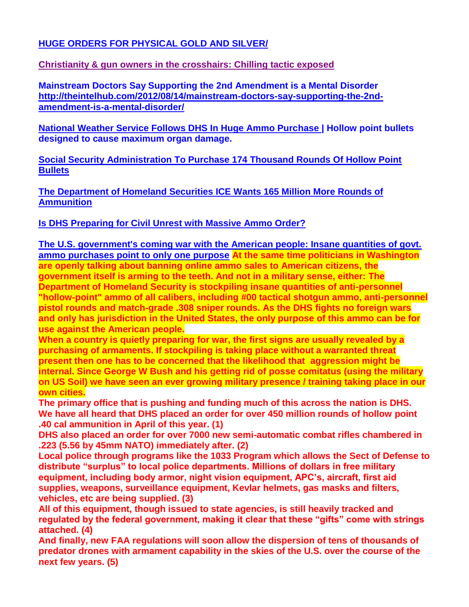## **[HUGE ORDERS FOR PHYSICAL GOLD AND SILVER/](http://www.stevequayle.com/index.php?s=33&d=39)**

## **[Christianity & gun owners in the crosshairs: Chilling tactic exposed](http://www.homelandsecurityus.com/archives/6577)**

**Mainstream Doctors Say Supporting the 2nd Amendment is a Mental Disorder [http://theintelhub.com/2012/08/14/mainstream-doctors-say-supporting-the-2nd](http://theintelhub.com/2012/08/14/mainstream-doctors-say-supporting-the-2nd-amendment-is-a-mental-disorder/)[amendment-is-a-mental-disorder/](http://theintelhub.com/2012/08/14/mainstream-doctors-say-supporting-the-2nd-amendment-is-a-mental-disorder/)**

**[National Weather Service Follows DHS In Huge Ammo Purchase |](http://www.infowars.com/national-weather-service-follows-dhs-in-huge-ammo-purchase/) Hollow point bullets designed to cause maximum organ damage.**

**[Social Security Administration To Purchase 174 Thousand Rounds Of Hollow Point](http://www.infowars.com/social-security-administration-to-purchase-174-thousand-rounds-of-hollow-point-bullets/)  [Bullets](http://www.infowars.com/social-security-administration-to-purchase-174-thousand-rounds-of-hollow-point-bullets/)** 

**[The Department of Homeland Securities ICE Wants 165 Million More Rounds of](http://theintelhub.com/2012/08/17/the-department-of-homeland-securities-ice-wants-165-million-more-rounds-of-ammunition/)  [Ammunition](http://theintelhub.com/2012/08/17/the-department-of-homeland-securities-ice-wants-165-million-more-rounds-of-ammunition/)**

## **[Is DHS Preparing for Civil Unrest with Massive Ammo Order?](http://www.infowars.com/is-dhs-preparing-for-civil-unrest-with-massive-ammo-order/)**

**[The U.S. government's coming war with the American people: Insane quantities of govt.](http://www.naturalnews.com/036802_DHS_ammunition_shooting_war.html)  [ammo purchases point to only one purpose](http://www.naturalnews.com/036802_DHS_ammunition_shooting_war.html) At the same time politicians in Washington are openly talking about banning online ammo sales to American citizens, the government itself is arming to the teeth. And not in a military sense, either: The Department of Homeland Security is stockpiling insane quantities of anti-personnel "hollow-point" ammo of all calibers, including #00 tactical shotgun ammo, anti-personnel pistol rounds and match-grade .308 sniper rounds. As the DHS fights no foreign wars and only has jurisdiction in the United States, the only purpose of this ammo can be for use against the American people.**

**When a country is quietly preparing for war, the first signs are usually revealed by a purchasing of armaments. If stockpiling is taking place without a warranted threat present then one has to be concerned that the likelihood that aggression might be internal. Since George W Bush and his getting rid of posse comitatus (using the military on US Soil) we have seen an ever growing military presence / training taking place in our own cities.**

**The primary office that is pushing and funding much of this across the nation is DHS. We have all heard that DHS placed an order for over 450 million rounds of hollow point .40 cal ammunition in April of this year. (1)**

**DHS also placed an order for over 7000 new semi-automatic combat rifles chambered in .223 (5.56 by 45mm NATO) immediately after. (2)**

**Local police through programs like the 1033 Program which allows the Sect of Defense to distribute "surplus" to local police departments. Millions of dollars in free military equipment, including body armor, night vision equipment, APC's, aircraft, first aid supplies, weapons, surveillance equipment, Kevlar helmets, gas masks and filters, vehicles, etc are being supplied. (3)**

**All of this equipment, though issued to state agencies, is still heavily tracked and regulated by the federal government, making it clear that these "gifts" come with strings attached. (4)**

**And finally, new FAA regulations will soon allow the dispersion of tens of thousands of predator drones with armament capability in the skies of the U.S. over the course of the next few years. (5)**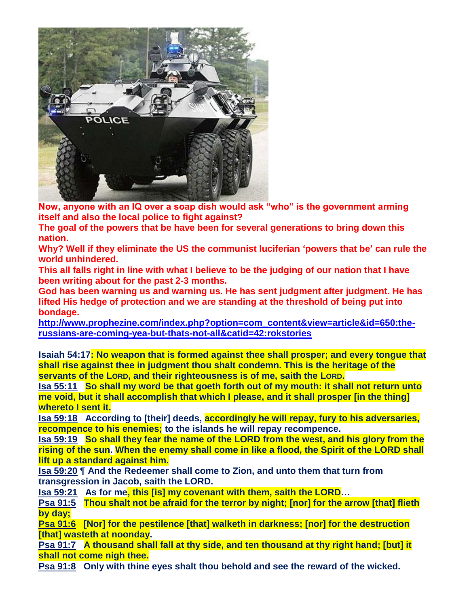

**Now, anyone with an IQ over a soap dish would ask "who" is the government arming itself and also the local police to fight against?**

**The goal of the powers that be have been for several generations to bring down this nation.**

**Why? Well if they eliminate the US the communist luciferian 'powers that be' can rule the world unhindered.**

**This all falls right in line with what I believe to be the judging of our nation that I have been writing about for the past 2-3 months.**

**God has been warning us and warning us. He has sent judgment after judgment. He has lifted His hedge of protection and we are standing at the threshold of being put into bondage.**

**[http://www.prophezine.com/index.php?option=com\\_content&view=article&id=650:the](http://www.prophezine.com/index.php?option=com_content&view=article&id=650:the-russians-are-coming-yea-but-thats-not-all&catid=42:rokstories)[russians-are-coming-yea-but-thats-not-all&catid=42:rokstories](http://www.prophezine.com/index.php?option=com_content&view=article&id=650:the-russians-are-coming-yea-but-thats-not-all&catid=42:rokstories)**

**Isaiah 54:17: No weapon that is formed against thee shall prosper; and every tongue that shall rise against thee in judgment thou shalt condemn. This is the heritage of the servants of the LORD, and their righteousness is of me, saith the LORD.**

**[Isa 55:11](http://www.blueletterbible.org/Bible.cfm?b=Isa&c=55&t=KJV#comm/11) So shall my word be that goeth forth out of my mouth: it shall not return unto me void, but it shall accomplish that which I please, and it shall prosper [in the thing] whereto I sent it.**

**[Isa 59:18](http://www.blueletterbible.org/Bible.cfm?b=Isa&c=59&t=KJV#comm/18) According to [their] deeds, accordingly he will repay, fury to his adversaries, recompence to his enemies; to the islands he will repay recompence.**

**[Isa 59:19](http://www.blueletterbible.org/Bible.cfm?b=Isa&c=59&t=KJV#comm/19) So shall they fear the name of the LORD from the west, and his glory from the rising of the sun. When the enemy shall come in like a flood, the Spirit of the LORD shall lift up a standard against him.**

**[Isa 59:20](http://www.blueletterbible.org/Bible.cfm?b=Isa&c=59&t=KJV#comm/20) ¶ And the Redeemer shall come to Zion, and unto them that turn from transgression in Jacob, saith the LORD.**

**[Isa 59:21](http://www.blueletterbible.org/Bible.cfm?b=Isa&c=59&t=KJV#comm/21) As for me, this [is] my covenant with them, saith the LORD…**

**[Psa 91:5](http://www.blueletterbible.org/Bible.cfm?b=Psa&c=91&t=KJV#comm/5) Thou shalt not be afraid for the terror by night; [nor] for the arrow [that] flieth by day;**

**[Psa 91:6](http://www.blueletterbible.org/Bible.cfm?b=Psa&c=91&t=KJV#comm/6) [Nor] for the pestilence [that] walketh in darkness; [nor] for the destruction [that] wasteth at noonday.** 

**[Psa 91:7](http://www.blueletterbible.org/Bible.cfm?b=Psa&c=91&t=KJV#comm/7) A thousand shall fall at thy side, and ten thousand at thy right hand; [but] it shall not come nigh thee.**

**[Psa 91:8](http://www.blueletterbible.org/Bible.cfm?b=Psa&c=91&t=KJV#comm/8) Only with thine eyes shalt thou behold and see the reward of the wicked.**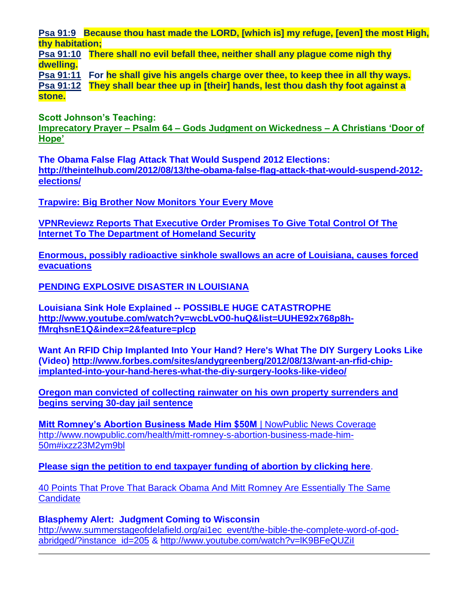**[Psa 91:9](http://www.blueletterbible.org/Bible.cfm?b=Psa&c=91&t=KJV#comm/9) Because thou hast made the LORD, [which is] my refuge, [even] the most High, thy habitation;**

**[Psa 91:10](http://www.blueletterbible.org/Bible.cfm?b=Psa&c=91&t=KJV#comm/10) There shall no evil befall thee, neither shall any plague come nigh thy dwelling.**

**[Psa 91:11](http://www.blueletterbible.org/Bible.cfm?b=Psa&c=91&t=KJV#comm/11) For he shall give his angels charge over thee, to keep thee in all thy ways. [Psa 91:12](http://www.blueletterbible.org/Bible.cfm?b=Psa&c=91&t=KJV#comm/12) They shall bear thee up in [their] hands, lest thou dash thy foot against a stone.**

**Scott Johnson's Teaching: Imprecatory Prayer – Psalm 64 – [Gods Judgment on Wickedness –](http://www.contendingfortruth.com/?p=1160) A Christians 'Door of [Hope'](http://www.contendingfortruth.com/?p=1160)**

**The Obama False Flag Attack That Would Suspend 2012 Elections: [http://theintelhub.com/2012/08/13/the-obama-false-flag-attack-that-would-suspend-2012](http://theintelhub.com/2012/08/13/the-obama-false-flag-attack-that-would-suspend-2012-elections/) [elections/](http://theintelhub.com/2012/08/13/the-obama-false-flag-attack-that-would-suspend-2012-elections/)**

**[Trapwire: Big Brother Now Monitors Your Every Move](http://www.infowars.com/trapwire-big-brother-now-monitors-your-every-move/)**

**[VPNReviewz Reports That Executive Order Promises To Give Total Control Of The](http://exaltedtruth.com/2012/08/13/vpnreviewz-reports-that-executive-order-promises-to-give-total-control-of-the-internet-to-the-department-of-homeland-security/)  [Internet To The Department of Homeland Security](http://exaltedtruth.com/2012/08/13/vpnreviewz-reports-that-executive-order-promises-to-give-total-control-of-the-internet-to-the-department-of-homeland-security/)**

**[Enormous, possibly radioactive sinkhole swallows an acre of Louisiana, causes forced](http://www.naturalnews.com/036832_sinkhole_Louisiana_radioactive_waste.html)  [evacuations](http://www.naturalnews.com/036832_sinkhole_Louisiana_radioactive_waste.html)**

**[PENDING EXPLOSIVE DISASTER IN LOUISIANA](http://www.stevequayle.com/index.php?s=33&d=49)**

**Louisiana Sink Hole Explained -- POSSIBLE HUGE CATASTROPHE [http://www.youtube.com/watch?v=wcbLvO0-huQ&list=UUHE92x768p8h](http://www.youtube.com/watch?v=wcbLvO0-huQ&list=UUHE92x768p8h-fMrqhsnE1Q&index=2&feature=plcp)[fMrqhsnE1Q&index=2&feature=plcp](http://www.youtube.com/watch?v=wcbLvO0-huQ&list=UUHE92x768p8h-fMrqhsnE1Q&index=2&feature=plcp)**

**Want An RFID Chip Implanted Into Your Hand? Here's What The DIY Surgery Looks Like (Video) [http://www.forbes.com/sites/andygreenberg/2012/08/13/want-an-rfid-chip](http://www.forbes.com/sites/andygreenberg/2012/08/13/want-an-rfid-chip-implanted-into-your-hand-heres-what-the-diy-surgery-looks-like-video/)[implanted-into-your-hand-heres-what-the-diy-surgery-looks-like-video/](http://www.forbes.com/sites/andygreenberg/2012/08/13/want-an-rfid-chip-implanted-into-your-hand-heres-what-the-diy-surgery-looks-like-video/)**

**[Oregon man convicted of collecting rainwater on his own property surrenders and](http://www.naturalnews.com/036800_rainwater_collection_Oregon_jail_sentence.html)  [begins serving 30-day jail sentence](http://www.naturalnews.com/036800_rainwater_collection_Oregon_jail_sentence.html)**

**[Mitt Romney's Abortion Business Made Him \\$50M](http://www.nowpublic.com/health/mitt-romney-s-abortion-business-made-him-50m#ixzz23M2ym9bl)** | NowPublic News Coverage [http://www.nowpublic.com/health/mitt-romney-s-abortion-business-made-him-](http://www.nowpublic.com/health/mitt-romney-s-abortion-business-made-him-50m#ixzz23M2ym9bl)[50m#ixzz23M2ym9bl](http://www.nowpublic.com/health/mitt-romney-s-abortion-business-made-him-50m#ixzz23M2ym9bl)

**[Please sign the petition to end taxpayer funding of abortion by clicking here](http://paracom.paramountcommunication.com/ct/9347775:12799605633:m:1:300339023:2110214EF63AC67E7A32794E2C805BF0:r)**.

[40 Points That Prove That Barack Obama And Mitt Romney Are Essentially The Same](http://endoftheamericandream.com/archives/40-points-that-prove-that-barack-obama-and-mitt-romney-are-exactly-the-same)  **[Candidate](http://endoftheamericandream.com/archives/40-points-that-prove-that-barack-obama-and-mitt-romney-are-exactly-the-same)** 

**Blasphemy Alert: Judgment Coming to Wisconsin** [http://www.summerstageofdelafield.org/ai1ec\\_event/the-bible-the-complete-word-of-god](http://www.summerstageofdelafield.org/ai1ec_event/the-bible-the-complete-word-of-god-abridged/?instance_id=205)[abridged/?instance\\_id=205](http://www.summerstageofdelafield.org/ai1ec_event/the-bible-the-complete-word-of-god-abridged/?instance_id=205) &<http://www.youtube.com/watch?v=lK9BFeQUZiI>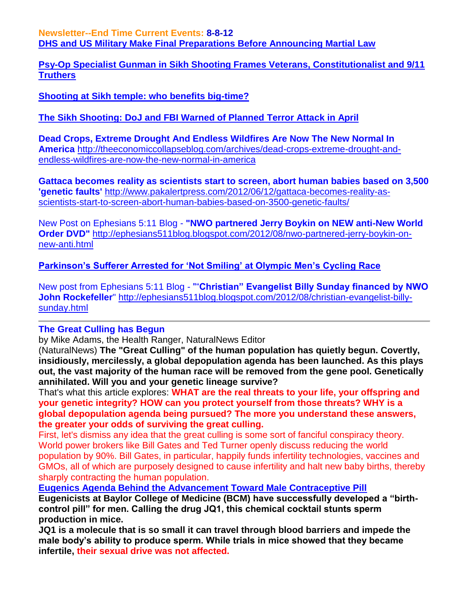**Newsletter--End Time Current Events: 8-8-12 [DHS and US Military Make Final Preparations Before Announcing Martial Law](http://occupycorporatism.com/dhs-and-us-military-make-final-preparations-before-announcing-martial-law/)**

**[Psy-Op Specialist Gunman in Sikh Shooting Frames Veterans, Constitutionalist and 9/11](http://occupycorporatism.com/psy-op-specialist-gunman-in-sikh-shooting-frames-veterans-constitutionalist-and-911-truthers/)  [Truthers](http://occupycorporatism.com/psy-op-specialist-gunman-in-sikh-shooting-frames-veterans-constitutionalist-and-911-truthers/)**

**[Shooting at Sikh temple: who benefits big-time?](http://www.infowars.com/shooting-at-sikh-temple-who-benefits-big-time/)** 

**[The Sikh Shooting: DoJ and FBI Warned of Planned](http://occupycorporatism.com/the-sikh-shooting-doj-and-fbi-warned-of-planned-terror-attack-in-april/) Terror Attack in April**

**Dead Crops, Extreme Drought And Endless Wildfires Are Now The New Normal In America** [http://theeconomiccollapseblog.com/archives/dead-crops-extreme-drought-and](http://theeconomiccollapseblog.com/archives/dead-crops-extreme-drought-and-endless-wildfires-are-now-the-new-normal-in-america)[endless-wildfires-are-now-the-new-normal-in-america](http://theeconomiccollapseblog.com/archives/dead-crops-extreme-drought-and-endless-wildfires-are-now-the-new-normal-in-america)

**Gattaca becomes reality as scientists start to screen, abort human babies based on 3,500 'genetic faults'** [http://www.pakalertpress.com/2012/06/12/gattaca-becomes-reality-as](http://www.pakalertpress.com/2012/06/12/gattaca-becomes-reality-as-scientists-start-to-screen-abort-human-babies-based-on-3500-genetic-faults/)[scientists-start-to-screen-abort-human-babies-based-on-3500-genetic-faults/](http://www.pakalertpress.com/2012/06/12/gattaca-becomes-reality-as-scientists-start-to-screen-abort-human-babies-based-on-3500-genetic-faults/)

New Post on Ephesians 5:11 Blog - **"NWO partnered Jerry Boykin on NEW anti-New World Order DVD"** [http://ephesians511blog.blogspot.com/2012/08/nwo-partnered-jerry-boykin-on](http://ephesians511blog.blogspot.com/2012/08/nwo-partnered-jerry-boykin-on-new-anti.html)[new-anti.html](http://ephesians511blog.blogspot.com/2012/08/nwo-partnered-jerry-boykin-on-new-anti.html)

**[Parkinson's Sufferer Arrested for 'Not Smiling' at Olympic Men's Cycling Race](http://www.infowars.com/parkinsons-sufferer-arrested-for-not-smiling-at-olympic-mens-cycling-race/)**

New post from Ephesians 5:11 Blog - ""**Christian" Evangelist Billy Sunday financed by NWO John Rockefeller**" [http://ephesians511blog.blogspot.com/2012/08/christian-evangelist-billy](http://ephesians511blog.blogspot.com/2012/08/christian-evangelist-billy-sunday.html)[sunday.html](http://ephesians511blog.blogspot.com/2012/08/christian-evangelist-billy-sunday.html)

### **The Great Culling has Begun**

by Mike Adams, the Health Ranger, NaturalNews Editor

(NaturalNews) **The "Great Culling" of the human population has quietly begun. Covertly, insidiously, mercilessly, a global depopulation agenda has been launched. As this plays out, the vast majority of the human race will be removed from the gene pool. Genetically annihilated. Will you and your genetic lineage survive?**

That's what this article explores: **WHAT are the real threats to your life, your offspring and your genetic integrity? HOW can you protect yourself from those threats? WHY is a global depopulation agenda being pursued? The more you understand these answers, the greater your odds of surviving the great culling.**

First, let's dismiss any idea that the great culling is some sort of fanciful conspiracy theory. World power brokers like Bill Gates and Ted Turner openly discuss reducing the world population by 90%. Bill Gates, in particular, happily funds infertility technologies, vaccines and GMOs, all of which are purposely designed to cause infertility and halt new baby births, thereby sharply contracting the human population.

**[Eugenics Agenda Behind the Advancement Toward Male Contraceptive Pill](http://theintelhub.com/2012/08/18/eugenics-agenda-behind-the-advancement-toward-male-contraceptive-pill/)**

**Eugenicists at Baylor College of Medicine (BCM) have successfully developed a "birthcontrol pill" for men. Calling the drug JQ1, this chemical cocktail stunts sperm production in mice.** 

**JQ1 is a molecule that is so small it can travel through blood barriers and impede the male body's ability to produce sperm. While trials in mice showed that they became infertile, their sexual drive was not affected.**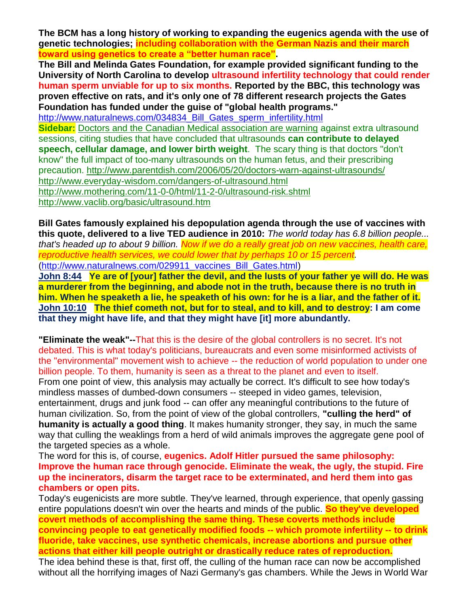**The BCM has a long history of working to expanding the eugenics agenda with the use of genetic technologies; including collaboration with the German Nazis and their march toward using genetics to create a "better human race".**

**The Bill and Melinda Gates Foundation, for example provided significant funding to the University of North Carolina to develop ultrasound infertility technology that could render human sperm unviable for up to six months. Reported by the BBC, this technology was proven effective on rats, and it's only one of 78 different research projects the Gates Foundation has funded under the guise of "global health programs."**

[http://www.naturalnews.com/034834\\_Bill\\_Gates\\_sperm\\_infertility.html](http://www.naturalnews.com/034834_Bill_Gates_sperm_infertility.html)

**Sidebar:** [Doctors and the Canadian Medical association are warning](http://www.canada.com/globaltv/national/story.html?id=3e269e7a-d0e2-47fb-acd2-9579bf0b1cc6) against extra ultrasound sessions, citing studies that have concluded that ultrasounds **can contribute to delayed speech, cellular damage, and lower birth weight**. The scary thing is that doctors "don't know" the full impact of too-many ultrasounds on the human fetus, and their prescribing precaution.<http://www.parentdish.com/2006/05/20/doctors-warn-against-ultrasounds/> <http://www.everyday-wisdom.com/dangers-of-ultrasound.html> <http://www.mothering.com/11-0-0/html/11-2-0/ultrasound-risk.shtml> <http://www.vaclib.org/basic/ultrasound.htm>

**Bill Gates famously explained his depopulation agenda through the use of vaccines with this quote, delivered to a live TED audience in 2010:** *The world today has 6.8 billion people... that's headed up to about 9 billion. Now if we do a really great job on new vaccines, health care, reproductive health services, we could lower that by perhaps 10 or 15 percent.* [\(http://www.naturalnews.com/029911\\_vaccines\\_Bill\\_Gates.html\)](http://www.naturalnews.com/029911_vaccines_Bill_Gates.html)

**[John 8:44](http://www.blueletterbible.org/Bible.cfm?b=Jhn&c=8&t=KJV#comm/44) Ye are of [your] father the devil, and the lusts of your father ye will do. He was a murderer from the beginning, and abode not in the truth, because there is no truth in him. When he speaketh a lie, he speaketh of his own: for he is a liar, and the father of it. [John 10:10](http://www.blueletterbible.org/Bible.cfm?b=Jhn&c=10&t=KJV#comm/10) The thief cometh not, but for to steal, and to kill, and to destroy: I am come that they might have life, and that they might have [it] more abundantly.**

**"Eliminate the weak"--**That this is the desire of the global controllers is no secret. It's not debated. This is what today's politicians, bureaucrats and even some misinformed activists of the "environmental" movement wish to achieve -- the reduction of world population to under one billion people. To them, humanity is seen as a threat to the planet and even to itself.

From one point of view, this analysis may actually be correct. It's difficult to see how today's mindless masses of dumbed-down consumers -- steeped in video games, television, entertainment, drugs and junk food -- can offer any meaningful contributions to the future of human civilization. So, from the point of view of the global controllers, **"culling the herd" of humanity is actually a good thing**. It makes humanity stronger, they say, in much the same way that culling the weaklings from a herd of wild animals improves the aggregate gene pool of the targeted species as a whole.

The word for this is, of course, **eugenics. Adolf Hitler pursued the same philosophy: Improve the human race through genocide. Eliminate the weak, the ugly, the stupid. Fire up the incinerators, disarm the target race to be exterminated, and herd them into gas chambers or open pits.**

Today's eugenicists are more subtle. They've learned, through experience, that openly gassing entire populations doesn't win over the hearts and minds of the public. **So they've developed covert methods of accomplishing the same thing. These coverts methods include convincing people to eat genetically modified foods -- which promote infertility -- to drink fluoride, take vaccines, use synthetic chemicals, increase abortions and pursue other actions that either kill people outright or drastically reduce rates of reproduction.**

The idea behind these is that, first off, the culling of the human race can now be accomplished without all the horrifying images of Nazi Germany's gas chambers. While the Jews in World War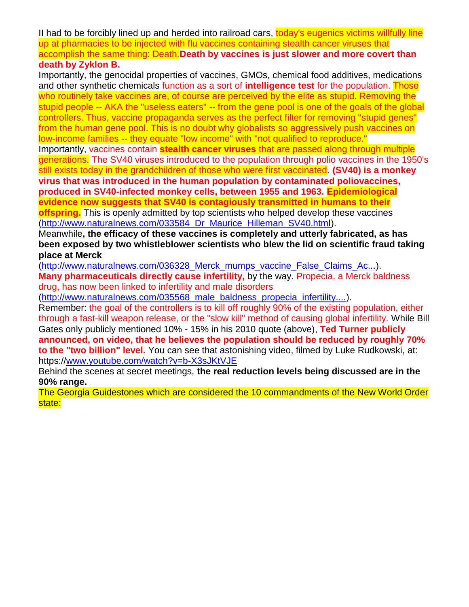II had to be forcibly lined up and herded into railroad cars, today's eugenics victims willfully line up at pharmacies to be injected with flu vaccines containing stealth cancer viruses that accomplish the same thing: Death.**Death by vaccines is just slower and more covert than death by Zyklon B.**

Importantly, the genocidal properties of vaccines, GMOs, chemical food additives, medications and other synthetic chemicals function as a sort of **intelligence test** for the population. Those who routinely take vaccines are, of course are perceived by the elite as stupid. Removing the stupid people -- AKA the "useless eaters" -- from the gene pool is one of the goals of the global controllers. Thus, vaccine propaganda serves as the perfect filter for removing "stupid genes" from the human gene pool. This is no doubt why globalists so aggressively push vaccines on low-income families -- they equate "low income" with "not qualified to reproduce."

Importantly, vaccines contain **stealth cancer viruses** that are passed along through multiple generations. The SV40 viruses introduced to the population through polio vaccines in the 1950's still exists today in the grandchildren of those who were first vaccinated. **(SV40) is a monkey virus that was introduced in the human population by contaminated poliovaccines, produced in SV40-infected monkey cells, between 1955 and 1963. Epidemiological evidence now suggests that SV40 is contagiously transmitted in humans to their** 

**offspring.** This is openly admitted by top scientists who helped develop these vaccines (http://www.naturalnews.com/033584 Dr Maurice Hilleman SV40.html).

Meanwhile**, the efficacy of these vaccines is completely and utterly fabricated, as has been exposed by two whistleblower scientists who blew the lid on scientific fraud taking place at Merck**

[\(http://www.naturalnews.com/036328\\_Merck\\_mumps\\_vaccine\\_False\\_Claims\\_Ac...\)](http://www.naturalnews.com/036328_Merck_mumps_vaccine_False_Claims_Act.html). **Many pharmaceuticals directly cause infertility,** by the way. Propecia, a Merck baldness drug, has now been linked to infertility and male disorders

[\(http://www.naturalnews.com/035568\\_male\\_baldness\\_propecia\\_infertility....\)](http://www.naturalnews.com/035568_male_baldness_propecia_infertility.html).

Remember: the goal of the controllers is to kill off roughly 90% of the existing population, either through a fast-kill weapon release, or the "slow kill" method of causing global infertility. While Bill Gates only publicly mentioned 10% - 15% in his 2010 quote (above), **Ted Turner publicly announced, on video, that he believes the population should be reduced by roughly 70% to the "two billion" level.** You can see that astonishing video, filmed by Luke Rudkowski, at: https:/[/www.youtube.com/watch?v=b-X3sJKtVJE](http://www.youtube.com/watch?v=b-X3sJKtVJE)

Behind the scenes at secret meetings, **the real reduction levels being discussed are in the 90% range.** 

The Georgia Guidestones which are considered the 10 commandments of the New World Order state: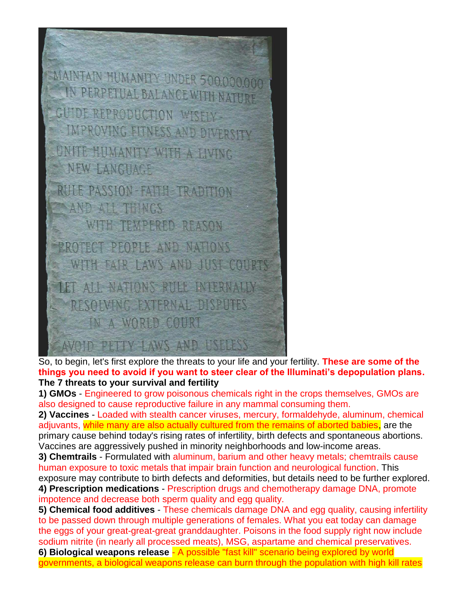

So, to begin, let's first explore the threats to your life and your fertility. **These are some of the things you need to avoid if you want to steer clear of the Illuminati's depopulation plans. The 7 threats to your survival and fertility**

**1) GMOs** - Engineered to grow poisonous chemicals right in the crops themselves, GMOs are also designed to cause reproductive failure in any mammal consuming them.

**2) Vaccines** - Loaded with stealth cancer viruses, mercury, formaldehyde, aluminum, chemical adjuvants, while many are also actually cultured from the remains of aborted babies, are the primary cause behind today's rising rates of infertility, birth defects and spontaneous abortions. Vaccines are aggressively pushed in minority neighborhoods and low-income areas.

**3) Chemtrails** - Formulated with aluminum, barium and other heavy metals; chemtrails cause human exposure to toxic metals that impair brain function and neurological function. This exposure may contribute to birth defects and deformities, but details need to be further explored. **4) Prescription medications** - Prescription drugs and chemotherapy damage DNA, promote impotence and decrease both sperm quality and egg quality.

**5) Chemical food additives** - These chemicals damage DNA and egg quality, causing infertility to be passed down through multiple generations of females. What you eat today can damage the eggs of your great-great-great granddaughter. Poisons in the food supply right now include sodium nitrite (in nearly all processed meats), MSG, aspartame and chemical preservatives. **6) Biological weapons release** - A possible "fast kill" scenario being explored by world governments, a biological weapons release can burn through the population with high kill rates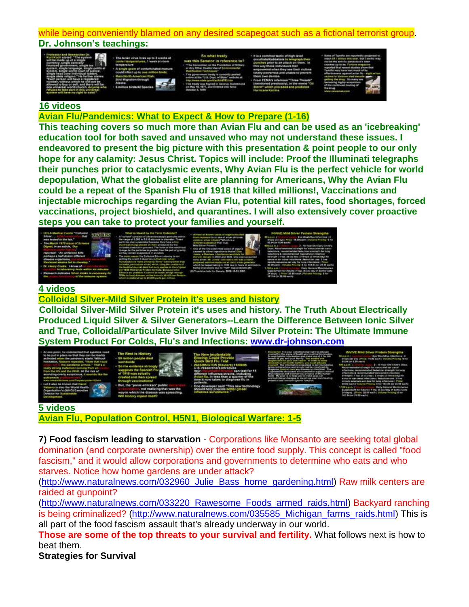### while being conveniently blamed on any desired scapegoat such as a fictional terrorist group. **Dr. Johnson's teachings:**

| ÷ |
|---|
|   |
|   |
|   |

| The Avison virus tives up to 3 weeks at |  |
|-----------------------------------------|--|
| seratures. 1 week at room               |  |
| <b>Titula</b>                           |  |
| ole prain of contamina                  |  |
| could infect up to one :                |  |
| merican Risa                            |  |
|                                         |  |
|                                         |  |
|                                         |  |



### **16 videos**

### **[Avian Flu/Pandemics: What to Expect & How to Prepare \(1-16\)](http://www.youtube.com/playlist?list=PL816312C85861B606&feature=view_all)**

**This teaching covers so much more than Avian Flu and can be used as an 'icebreaking' education tool for both saved and unsaved who may not understand these issues. I endeavored to present the big picture with this presentation & point people to our only hope for any calamity: Jesus Christ. Topics will include: Proof the Illuminati telegraphs their punches prior to cataclysmic events, Why Avian Flu is the perfect vehicle for world depopulation, What the globalist elite are planning for Americans, Why the Avian Flu could be a repeat of the Spanish Flu of 1918 that killed millions!, Vaccinations and injectable microchips regarding the Avian Flu, potential kill rates, food shortages, forced vaccinations, project bioshield, and quarantines. I will also extensively cover proactive steps you can take to protect your families and yourself.** 



#### **[4 videos](http://www.youtube.com/watch?v=lcE5QmLYP08&list=PLF54925852F0149E9&feature=view_all)**

**[Colloidal Silver-Mild Silver Protein it's uses and history](http://www.youtube.com/playlist?list=PLF54925852F0149E9&feature=view_all)**

**Colloidal Silver-Mild Silver Protein it's uses and history. The Truth About Electrically Produced Liquid Silver & Silver Generators--Learn the Difference Between Ionic Silver and True, Colloidal/Particulate Silver Invive Mild Silver Protein: The Ultimate Immune System Product For Colds, Flu's and Infections: [www.dr-johnson.com](http://www.dr-johnson.com/)** 



| The Hest in Hintory                                                                            |
|------------------------------------------------------------------------------------------------|
| work                                                                                           |
| a the evid<br>supposes the Spa<br>of 1918 was actually<br>and then spread<br><b>COMMISSION</b> |
| But, the "panic-stricken" public<br>, not realizing that was the                               |

## **[5 videos](http://www.youtube.com/watch?v=-cG2uGiXFwM&list=PL6AFC257BA3218314&feature=view_all)**

**[Avian Flu, Population Control, H5N1, Biological Warfare: 1-5](http://www.youtube.com/playlist?list=PL6AFC257BA3218314&feature=view_all)**

**7) Food fascism leading to starvation** - Corporations like Monsanto are seeking total global domination (and corporate ownership) over the entire food supply. This concept is called "food fascism," and it would allow corporations and governments to determine who eats and who starves. Notice how home gardens are under attack?

[\(http://www.naturalnews.com/032960\\_Julie\\_Bass\\_home\\_gardening.html\)](http://www.naturalnews.com/032960_Julie_Bass_home_gardening.html) Raw milk centers are raided at gunpoint?

[\(http://www.naturalnews.com/033220\\_Rawesome\\_Foods\\_armed\\_raids.html\)](http://www.naturalnews.com/033220_Rawesome_Foods_armed_raids.html) Backyard ranching is being criminalized? [\(http://www.naturalnews.com/035585\\_Michigan\\_farms\\_raids.html\)](http://www.naturalnews.com/035585_Michigan_farms_raids.html) This is all part of the food fascism assault that's already underway in our world.

**Those are some of the top threats to your survival and fertility.** What follows next is how to beat them.

**Strategies for Survival**